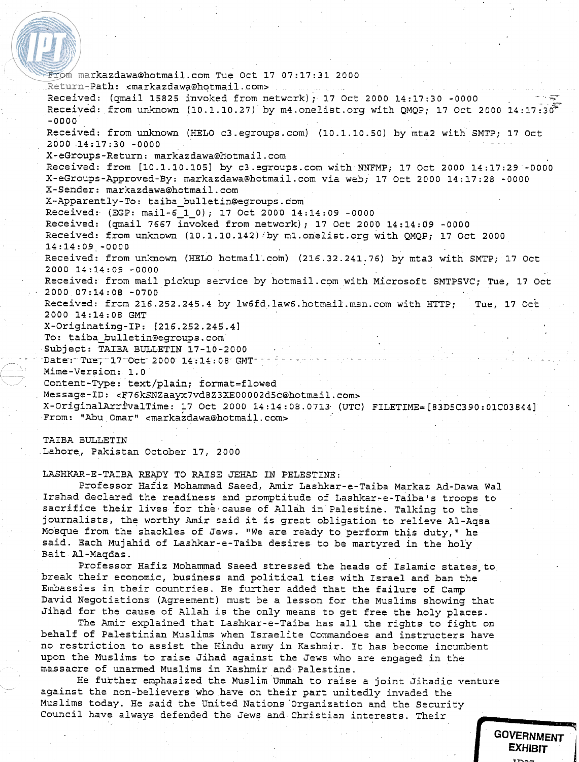From markazdawa@hotmail.com Tue Oct 17 07:17:31 2000 Return-Path: <markazdawa@hotmail.com> Received: (qmail 15825 invoked from network); 17 Oct 2000  $14:17:30$  -0000 Received: from unknown (10.1.10.27) by m4.onelist.org with QMQP; 17 Oct 2000 14:17:30 -0000 Received: from unknown (HELO c3.egroups.com) (10.1.10.50) by mta2 with SMTP; 17 Oct 2000 14:17:30 -0000 X-eGroups-Return: markazdawa@Botmail.com Received: from [10.1.10.1051 by c3.egroups.com with NNFMP; 17 Oct 2000 14:17:29 -0000 X-eGroups-Approved-By: markazdawa@hotmail.com via web; 17 Oct 2000 14:17:2B -0000 X-Sender: markazdawa@hotmail.com X-Apparently-To: **taiba-bulletin@egroups.com**  Received: (EGP: mail-6-1-0); 17 Oct 2000 14:14:09 -0000 Received: (qmail 7667 invoked from network); 17 Oct 2000 14:14:09 -0000 Received: from unknown (10.1.10.142) by ml.onelist.org with QMQP; 17 Oct 2000 14:14:09 -0000 Received: from unknown (HELO hotmail.com) (216.32.241.76) by mta3 with SMTP; 17 Oct 2000 14:14:09 -0000 Received: from mail pickup service by hotmail.com with Microsoft SMTPSVC; Tue, 17 Oct 2000 07:14:08 -0700 Received: from 216.252.245.4 by **lw6fd.law6.hotmail.msn.com** with HTTP; Tue, 17 0ct 2000 14:14:0B GMT X-Originating-IP: [216.252.245.4] To: **taiba-bulletin@egroups.com**  Subject: TAIBA BULLETIN 17-10-2000 Date: Tue, 17 Oct 2000 14:14:0B GMT-Mime-Version: 1.0 Content-Type: text/plain; format=flowed Message-ID: **cF76kSNZaayx7vdBZ3XE00002d5c@hotmail.com~**  X-0riginalArrlkal~ime: 17 Oct 2000 14:14:08.0713. (UTC) **FILETIME=[B3D5C390:01C03844]**  From: "Abu Omar" <markazdawa@hotmail.com>

# TAIBA BULLETIN

Lahore., Pakistan October 17, 2000

LASHKAR-E-TAIBA READY TO RAISE JEHAD IN PELESTINE:

Professor Hafiz Mohammad Saeed, Amir Lashkar-e-Taiba Markaz Ad-Dawa Wal Irshad declared the readiness and promptitude of Lashkar-e-Taibals troops to sacrifice their lives for the cause of Allah in Palestine. Talking to the journalists, the worthy Amir said it is great obligation to relieve Al-Aqsa Mosque from the shackles of Jews. "We are ready to perform this duty," he said. Each Mujahid of Lashkar-e-Taiba desires to be martyred in the holy Bait Al-Maqdas.

Professor Hafiz Mohammad Saeed stressed the heads of Islamic states to break their economic, business and political ties with Israel and ban khe Embassies in their countries. He further added that the failure of Camp David Negotiations (Agreement) must be **a** lesson for the Muslims showing that Jihad for the cause of Allah is the only means to get free the holy places.

The Amir explained that Lashkar-e-Taiba has all the rights to fight on behalf of Palestinian Muslims when Israelite Commandoes and instructers have no restriction to assist the Hindu army in Kashmir. It has become incumbent upon the Muslims to raise Jihad against the Jews who are engaged in the massacre of unarmed Muslims in Kashmir and Palestine.

He further emphasized the Muslim Ummah to raise a joint Jihadic venture against the non-believers who have on their part unitedly invaded the Muslims today. He said the United Nations'organization and the Security Council have always defended the Jews and Christian interests. Their

> **GOVERNMENT EXHIBIT**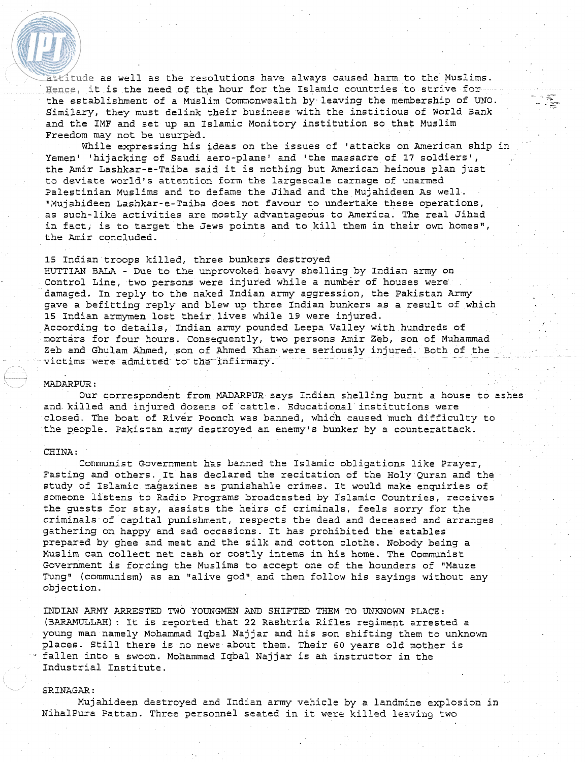attitude as well as the resolutions have always caused harm to the Muslims.  $Hence,$  it is the need of the hour for the Islamic countries to strive for ... Similary, they must delink their business with the institious of World Bank and the IMF and set up an Islamic Monitory institution so that Muslim Freedom may not be usurped.

While expressing his ideas on the issues of 'attacks on American ship in Yemen' 'hijacking of Saudi aero-plane' and 'the massacre of **17** soldiers', the Amir Lashkar-e-Taiba said it is nothing but American heinous plan just to deviate world's attention form the largescale carnage of unarmed Palestinian Muslims and to defame the Jihad and the Mujahideen As well. "Mujahideen Lashkar-e-Taiba does not favour to undertake these operations, as such-like activities are mostly advantageous to America. The real Jihad in fact, is to target the Jews points and to kill them in their own homes", the Amir concluded.

**15** Indian troops killed, three bunkers destroyed -BUTTIAN BALA - Due to the unprovoked heavy shelling by Indian army on Control Line, two persons were injured while a number of houses were damaged. In reply to the naked Indian army aggression, the Pakistan Army gave a befitting reply and blew up three Indian bunkers as **a** result of which **15** Indian armymen lost their lives while **19** were injured. According to details, Indian army pounded Leepa Valley with hundreds of mortars for four hours. Consequently, two persons Amir Zeb, son of Muhammad Zeb and Ghulam Ahmed, son of Ahmed Khan were seriously injured. Both of the victims were admitted to the infirmary.'

# MADARPUR :

Our correspondent from MADARPUR says Indian shelling burnt a house to ashes and killed and injured dozens of cattle. Educational institutions were closed. The boat of River Poonch was banned, which caused much difficulty to the people. Pakistan army destroyed an enemy's bunker by a counterattack.

## CHINA :

Communist Government has banned the Islamic obligations like Prayer, Fasting and others. It has declared the recitation of the Holy Quran and the study of Islamic magazines as punishahle crimes. It would make enquiries of someone listens to Radio Programs broadcasted by Islamic Countries, receives the guests for stay, assists the heirs of criminals, feels sorry for the criminals of capital punishment, respects the dead and deceased and arranges gathering on happy and sad occasions. It has prohibited the eatables prepared by ghee and meat and the silk and cotton clothe. Nobody being a Muslim can collect net cash or costly interns in his home. The Communist Government is forcing the Muslims to accept one of the hounders of "Mauze Tung" (communism) as an "alive god" and then follow his sayings without any objection.

INDIAN ARMY ARRESTED **TWO** YOUNGMEN AND SHIFTED THEM TO UNKNOWN PLACE: (BARAMULLAH) : It is reported that 22 Rashtria Rifles regiment arrested a young man namely Mohammad Iqbal Najjar and his son shifting them to unknown places. Still there is no news about them. Their **60** years old mother is ., fallen into a swoon. Mohammad Iqbal Najjar is an instructor in the Industrial Institute.

#### SRINAGAR:

Mujahideen destroyed and Indian army vehicle **by** a landmine explosion in NihalPura Pattan. Three personnel seated in it were killed leaving two